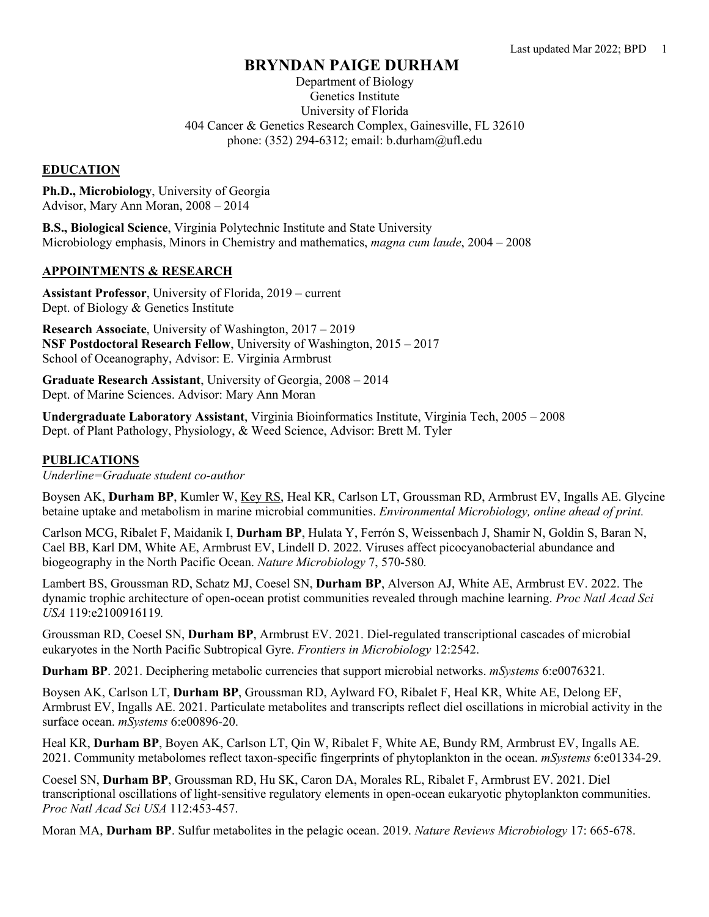# **BRYNDAN PAIGE DURHAM**

Department of Biology Genetics Institute University of Florida 404 Cancer & Genetics Research Complex, Gainesville, FL 32610 phone: (352) 294-6312; email: b.durham@ufl.edu

# **EDUCATION**

**Ph.D., Microbiology**, University of Georgia Advisor, Mary Ann Moran, 2008 – 2014

**B.S., Biological Science**, Virginia Polytechnic Institute and State University Microbiology emphasis, Minors in Chemistry and mathematics, *magna cum laude*, 2004 – 2008

## **APPOINTMENTS & RESEARCH**

**Assistant Professor**, University of Florida, 2019 – current Dept. of Biology & Genetics Institute

**Research Associate**, University of Washington, 2017 – 2019 **NSF Postdoctoral Research Fellow**, University of Washington, 2015 – 2017 School of Oceanography, Advisor: E. Virginia Armbrust

**Graduate Research Assistant**, University of Georgia, 2008 – 2014 Dept. of Marine Sciences. Advisor: Mary Ann Moran

**Undergraduate Laboratory Assistant**, Virginia Bioinformatics Institute, Virginia Tech, 2005 – 2008 Dept. of Plant Pathology, Physiology, & Weed Science, Advisor: Brett M. Tyler

### **PUBLICATIONS**

*Underline=Graduate student co-author*

Boysen AK, **Durham BP**, Kumler W, Key RS, Heal KR, Carlson LT, Groussman RD, Armbrust EV, Ingalls AE. Glycine betaine uptake and metabolism in marine microbial communities. *Environmental Microbiology, online ahead of print.*

Carlson MCG, Ribalet F, Maidanik I, **Durham BP**, Hulata Y, Ferrón S, Weissenbach J, Shamir N, Goldin S, Baran N, Cael BB, Karl DM, White AE, Armbrust EV, Lindell D. 2022. Viruses affect picocyanobacterial abundance and biogeography in the North Pacific Ocean. *Nature Microbiology* 7, 570-580*.*

Lambert BS, Groussman RD, Schatz MJ, Coesel SN, **Durham BP**, Alverson AJ, White AE, Armbrust EV. 2022. The dynamic trophic architecture of open-ocean protist communities revealed through machine learning. *Proc Natl Acad Sci USA* 119:e2100916119*.*

Groussman RD, Coesel SN, **Durham BP**, Armbrust EV. 2021. Diel-regulated transcriptional cascades of microbial eukaryotes in the North Pacific Subtropical Gyre. *Frontiers in Microbiology* 12:2542.

**Durham BP**. 2021. Deciphering metabolic currencies that support microbial networks. *mSystems* 6:e0076321*.*

Boysen AK, Carlson LT, **Durham BP**, Groussman RD, Aylward FO, Ribalet F, Heal KR, White AE, Delong EF, Armbrust EV, Ingalls AE. 2021. Particulate metabolites and transcripts reflect diel oscillations in microbial activity in the surface ocean. *mSystems* 6:e00896-20.

Heal KR, **Durham BP**, Boyen AK, Carlson LT, Qin W, Ribalet F, White AE, Bundy RM, Armbrust EV, Ingalls AE. 2021. Community metabolomes reflect taxon-specific fingerprints of phytoplankton in the ocean. *mSystems* 6:e01334-29.

Coesel SN, **Durham BP**, Groussman RD, Hu SK, Caron DA, Morales RL, Ribalet F, Armbrust EV. 2021. Diel transcriptional oscillations of light-sensitive regulatory elements in open-ocean eukaryotic phytoplankton communities. *Proc Natl Acad Sci USA* 112:453-457.

Moran MA, **Durham BP**. Sulfur metabolites in the pelagic ocean. 2019. *Nature Reviews Microbiology* 17: 665-678.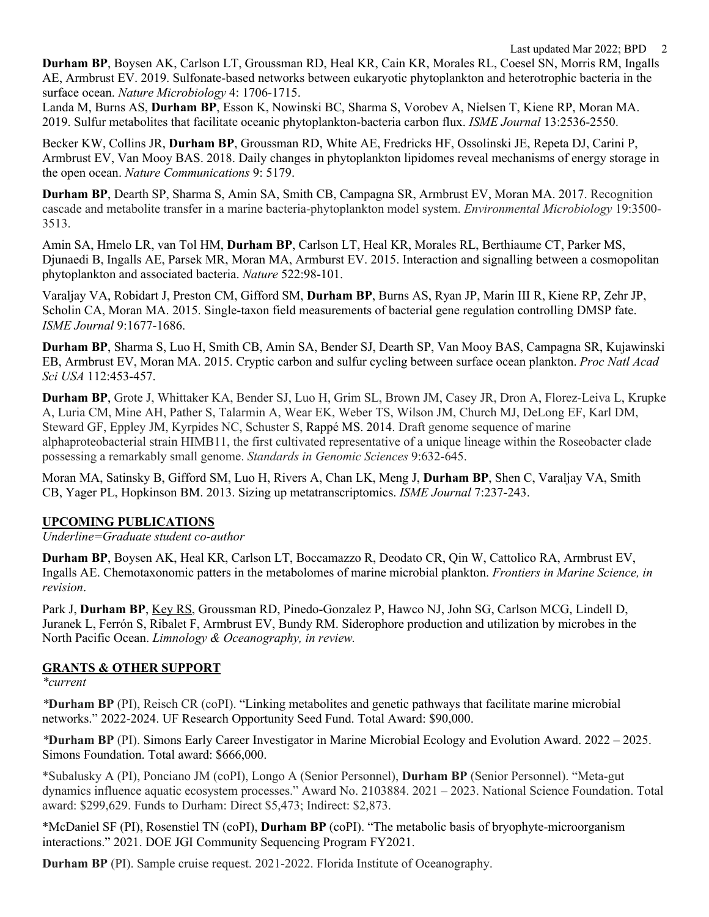Last updated Mar 2022; BPD 2

**Durham BP**, Boysen AK, Carlson LT, Groussman RD, Heal KR, Cain KR, Morales RL, Coesel SN, Morris RM, Ingalls AE, Armbrust EV. 2019. Sulfonate-based networks between eukaryotic phytoplankton and heterotrophic bacteria in the surface ocean. *Nature Microbiology* 4: 1706-1715.

Landa M, Burns AS, **Durham BP**, Esson K, Nowinski BC, Sharma S, Vorobev A, Nielsen T, Kiene RP, Moran MA. 2019. Sulfur metabolites that facilitate oceanic phytoplankton-bacteria carbon flux. *ISME Journal* 13:2536-2550.

Becker KW, Collins JR, **Durham BP**, Groussman RD, White AE, Fredricks HF, Ossolinski JE, Repeta DJ, Carini P, Armbrust EV, Van Mooy BAS. 2018. Daily changes in phytoplankton lipidomes reveal mechanisms of energy storage in the open ocean. *Nature Communications* 9: 5179.

**Durham BP**, Dearth SP, Sharma S, Amin SA, Smith CB, Campagna SR, Armbrust EV, Moran MA. 2017. Recognition cascade and metabolite transfer in a marine bacteria-phytoplankton model system. *Environmental Microbiology* 19:3500- 3513.

Amin SA, Hmelo LR, van Tol HM, **Durham BP**, Carlson LT, Heal KR, Morales RL, Berthiaume CT, Parker MS, Djunaedi B, Ingalls AE, Parsek MR, Moran MA, Armburst EV. 2015. Interaction and signalling between a cosmopolitan phytoplankton and associated bacteria. *Nature* 522:98-101.

Varaljay VA, Robidart J, Preston CM, Gifford SM, **Durham BP**, Burns AS, Ryan JP, Marin III R, Kiene RP, Zehr JP, Scholin CA, Moran MA. 2015. Single-taxon field measurements of bacterial gene regulation controlling DMSP fate. *ISME Journal* 9:1677-1686.

**Durham BP**, Sharma S, Luo H, Smith CB, Amin SA, Bender SJ, Dearth SP, Van Mooy BAS, Campagna SR, Kujawinski EB, Armbrust EV, Moran MA. 2015. Cryptic carbon and sulfur cycling between surface ocean plankton. *Proc Natl Acad Sci USA* 112:453-457.

**Durham BP**, Grote J, Whittaker KA, Bender SJ, Luo H, Grim SL, Brown JM, Casey JR, Dron A, Florez-Leiva L, Krupke A, Luria CM, Mine AH, Pather S, Talarmin A, Wear EK, Weber TS, Wilson JM, Church MJ, DeLong EF, Karl DM, Steward GF, Eppley JM, Kyrpides NC, Schuster S, Rappé MS. 2014. Draft genome sequence of marine alphaproteobacterial strain HIMB11, the first cultivated representative of a unique lineage within the Roseobacter clade possessing a remarkably small genome. *Standards in Genomic Sciences* 9:632-645.

Moran MA, Satinsky B, Gifford SM, Luo H, Rivers A, Chan LK, Meng J, **Durham BP**, Shen C, Varaljay VA, Smith CB, Yager PL, Hopkinson BM. 2013. Sizing up metatranscriptomics. *ISME Journal* 7:237-243.

# **UPCOMING PUBLICATIONS**

*Underline=Graduate student co-author*

**Durham BP**, Boysen AK, Heal KR, Carlson LT, Boccamazzo R, Deodato CR, Qin W, Cattolico RA, Armbrust EV, Ingalls AE. Chemotaxonomic patters in the metabolomes of marine microbial plankton. *Frontiers in Marine Science, in revision*.

Park J, **Durham BP**, Key RS, Groussman RD, Pinedo-Gonzalez P, Hawco NJ, John SG, Carlson MCG, Lindell D, Juranek L, Ferrón S, Ribalet F, Armbrust EV, Bundy RM. Siderophore production and utilization by microbes in the North Pacific Ocean. *Limnology & Oceanography, in review.*

## **GRANTS & OTHER SUPPORT**

*\*current*

*\****Durham BP** (PI), Reisch CR (coPI). "Linking metabolites and genetic pathways that facilitate marine microbial networks." 2022-2024. UF Research Opportunity Seed Fund. Total Award: \$90,000.

*\****Durham BP** (PI). Simons Early Career Investigator in Marine Microbial Ecology and Evolution Award. 2022 – 2025. Simons Foundation. Total award: \$666,000.

\*Subalusky A (PI), Ponciano JM (coPI), Longo A (Senior Personnel), **Durham BP** (Senior Personnel). "Meta-gut dynamics influence aquatic ecosystem processes." Award No. 2103884. 2021 – 2023. National Science Foundation. Total award: \$299,629. Funds to Durham: Direct \$5,473; Indirect: \$2,873.

\*McDaniel SF (PI), Rosenstiel TN (coPI), **Durham BP** (coPI). "The metabolic basis of bryophyte-microorganism interactions." 2021. DOE JGI Community Sequencing Program FY2021.

**Durham BP** (PI). Sample cruise request. 2021-2022. Florida Institute of Oceanography.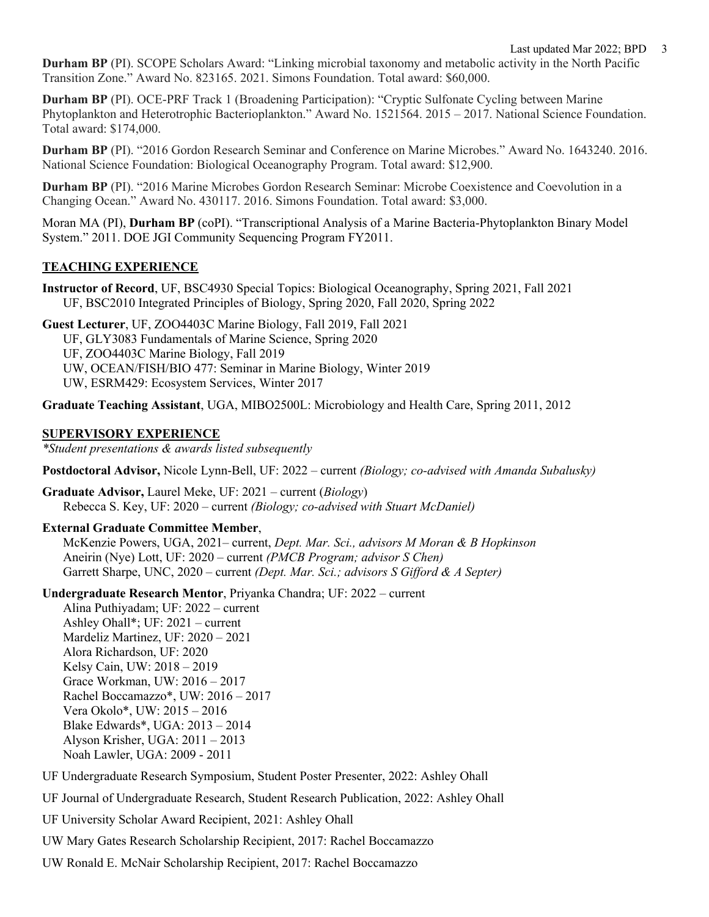**Durham BP** (PI). SCOPE Scholars Award: "Linking microbial taxonomy and metabolic activity in the North Pacific Transition Zone." Award No. 823165. 2021. Simons Foundation. Total award: \$60,000.

**Durham BP** (PI). OCE-PRF Track 1 (Broadening Participation): "Cryptic Sulfonate Cycling between Marine Phytoplankton and Heterotrophic Bacterioplankton." Award No. 1521564. 2015 – 2017. National Science Foundation. Total award: \$174,000.

**Durham BP** (PI). "2016 Gordon Research Seminar and Conference on Marine Microbes." Award No. 1643240. 2016. National Science Foundation: Biological Oceanography Program. Total award: \$12,900.

**Durham BP** (PI). "2016 Marine Microbes Gordon Research Seminar: Microbe Coexistence and Coevolution in a Changing Ocean." Award No. 430117. 2016. Simons Foundation. Total award: \$3,000.

Moran MA (PI), **Durham BP** (coPI). "Transcriptional Analysis of a Marine Bacteria-Phytoplankton Binary Model System." 2011. DOE JGI Community Sequencing Program FY2011.

## **TEACHING EXPERIENCE**

**Instructor of Record**, UF, BSC4930 Special Topics: Biological Oceanography, Spring 2021, Fall 2021 UF, BSC2010 Integrated Principles of Biology, Spring 2020, Fall 2020, Spring 2022

**Guest Lecturer**, UF, ZOO4403C Marine Biology, Fall 2019, Fall 2021 UF, GLY3083 Fundamentals of Marine Science, Spring 2020 UF, ZOO4403C Marine Biology, Fall 2019 UW, OCEAN/FISH/BIO 477: Seminar in Marine Biology, Winter 2019 UW, ESRM429: Ecosystem Services, Winter 2017

**Graduate Teaching Assistant**, UGA, MIBO2500L: Microbiology and Health Care, Spring 2011, 2012

### **SUPERVISORY EXPERIENCE**

*\*Student presentations & awards listed subsequently*

**Postdoctoral Advisor,** Nicole Lynn-Bell, UF: 2022 – current *(Biology; co-advised with Amanda Subalusky)*

**Graduate Advisor,** Laurel Meke, UF: 2021 – current (*Biology*) Rebecca S. Key, UF: 2020 – current *(Biology; co-advised with Stuart McDaniel)*

### **External Graduate Committee Member**,

McKenzie Powers, UGA, 2021– current, *Dept. Mar. Sci., advisors M Moran & B Hopkinson* Aneirin (Nye) Lott, UF: 2020 – current *(PMCB Program; advisor S Chen)* Garrett Sharpe, UNC, 2020 – current *(Dept. Mar. Sci.; advisors S Gifford & A Septer)*

**Undergraduate Research Mentor**, Priyanka Chandra; UF: 2022 – current

Alina Puthiyadam; UF: 2022 – current Ashley Ohall\*; UF: 2021 – current Mardeliz Martinez, UF: 2020 – 2021 Alora Richardson, UF: 2020 Kelsy Cain, UW: 2018 – 2019 Grace Workman, UW: 2016 – 2017 Rachel Boccamazzo\*, UW: 2016 – 2017 Vera Okolo\*, UW: 2015 – 2016 Blake Edwards\*, UGA: 2013 – 2014 Alyson Krisher, UGA: 2011 – 2013 Noah Lawler, UGA: 2009 - 2011

- UF Undergraduate Research Symposium, Student Poster Presenter, 2022: Ashley Ohall
- UF Journal of Undergraduate Research, Student Research Publication, 2022: Ashley Ohall
- UF University Scholar Award Recipient, 2021: Ashley Ohall
- UW Mary Gates Research Scholarship Recipient, 2017: Rachel Boccamazzo
- UW Ronald E. McNair Scholarship Recipient, 2017: Rachel Boccamazzo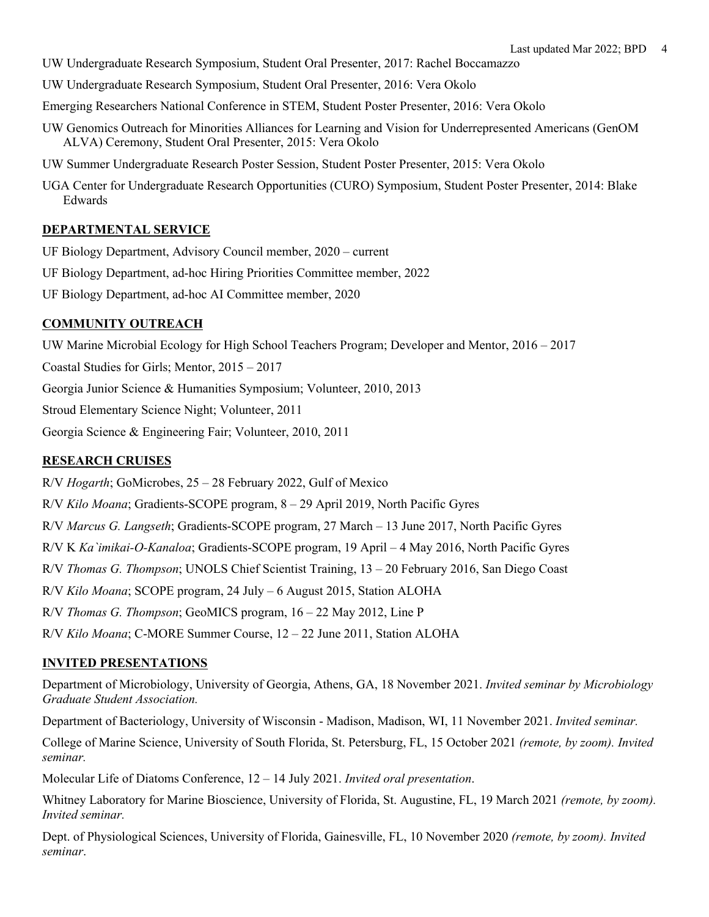- UW Undergraduate Research Symposium, Student Oral Presenter, 2017: Rachel Boccamazzo
- UW Undergraduate Research Symposium, Student Oral Presenter, 2016: Vera Okolo
- Emerging Researchers National Conference in STEM, Student Poster Presenter, 2016: Vera Okolo
- UW Genomics Outreach for Minorities Alliances for Learning and Vision for Underrepresented Americans (GenOM ALVA) Ceremony, Student Oral Presenter, 2015: Vera Okolo
- UW Summer Undergraduate Research Poster Session, Student Poster Presenter, 2015: Vera Okolo
- UGA Center for Undergraduate Research Opportunities (CURO) Symposium, Student Poster Presenter, 2014: Blake Edwards

## **DEPARTMENTAL SERVICE**

- UF Biology Department, Advisory Council member, 2020 current
- UF Biology Department, ad-hoc Hiring Priorities Committee member, 2022
- UF Biology Department, ad-hoc AI Committee member, 2020

### **COMMUNITY OUTREACH**

UW Marine Microbial Ecology for High School Teachers Program; Developer and Mentor, 2016 – 2017

Coastal Studies for Girls; Mentor, 2015 – 2017

Georgia Junior Science & Humanities Symposium; Volunteer, 2010, 2013

Stroud Elementary Science Night; Volunteer, 2011

Georgia Science & Engineering Fair; Volunteer, 2010, 2011

## **RESEARCH CRUISES**

R/V *Hogarth*; GoMicrobes, 25 – 28 February 2022, Gulf of Mexico

R/V *Kilo Moana*; Gradients-SCOPE program, 8 – 29 April 2019, North Pacific Gyres

R/V *Marcus G. Langseth*; Gradients-SCOPE program, 27 March – 13 June 2017, North Pacific Gyres

R/V K *Ka`imikai-O-Kanaloa*; Gradients-SCOPE program, 19 April – 4 May 2016, North Pacific Gyres

R/V *Thomas G. Thompson*; UNOLS Chief Scientist Training, 13 – 20 February 2016, San Diego Coast

R/V *Kilo Moana*; SCOPE program, 24 July – 6 August 2015, Station ALOHA

R/V *Thomas G. Thompson*; GeoMICS program, 16 – 22 May 2012, Line P

R/V *Kilo Moana*; C-MORE Summer Course, 12 – 22 June 2011, Station ALOHA

### **INVITED PRESENTATIONS**

Department of Microbiology, University of Georgia, Athens, GA, 18 November 2021. *Invited seminar by Microbiology Graduate Student Association.*

Department of Bacteriology, University of Wisconsin - Madison, Madison, WI, 11 November 2021. *Invited seminar.*

College of Marine Science, University of South Florida, St. Petersburg, FL, 15 October 2021 *(remote, by zoom). Invited seminar.*

Molecular Life of Diatoms Conference, 12 – 14 July 2021. *Invited oral presentation*.

Whitney Laboratory for Marine Bioscience, University of Florida, St. Augustine, FL, 19 March 2021 *(remote, by zoom). Invited seminar.*

Dept. of Physiological Sciences, University of Florida, Gainesville, FL, 10 November 2020 *(remote, by zoom). Invited seminar*.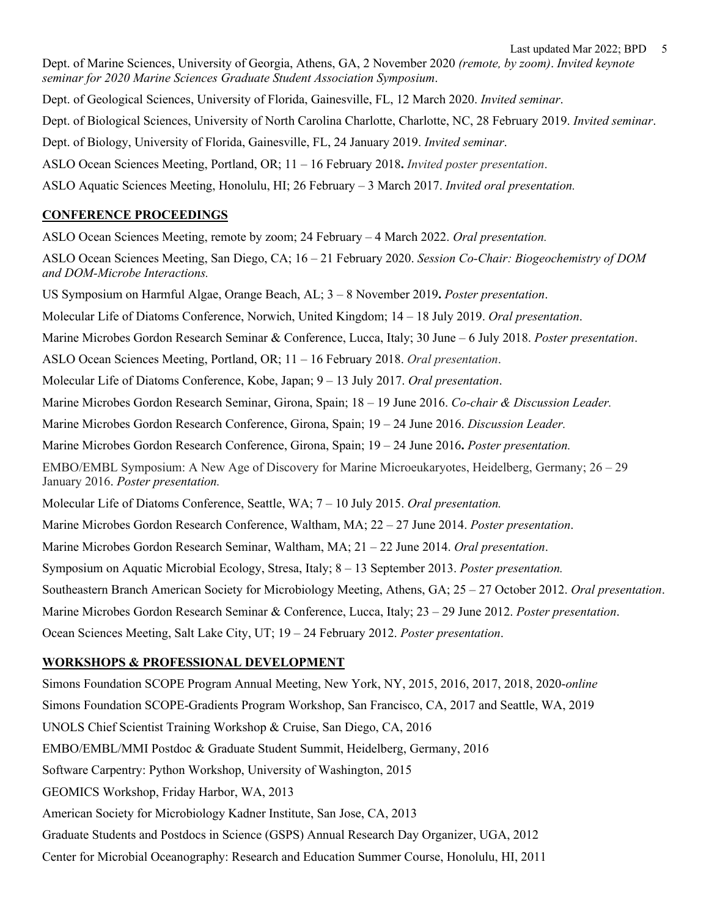Dept. of Marine Sciences, University of Georgia, Athens, GA, 2 November 2020 *(remote, by zoom)*. *Invited keynote seminar for 2020 Marine Sciences Graduate Student Association Symposium*.

Dept. of Geological Sciences, University of Florida, Gainesville, FL, 12 March 2020. *Invited seminar*.

Dept. of Biological Sciences, University of North Carolina Charlotte, Charlotte, NC, 28 February 2019. *Invited seminar*.

Dept. of Biology, University of Florida, Gainesville, FL, 24 January 2019. *Invited seminar*.

ASLO Ocean Sciences Meeting, Portland, OR; 11 – 16 February 2018**.** *Invited poster presentation*.

ASLO Aquatic Sciences Meeting, Honolulu, HI; 26 February – 3 March 2017. *Invited oral presentation.*

# **CONFERENCE PROCEEDINGS**

ASLO Ocean Sciences Meeting, remote by zoom; 24 February – 4 March 2022. *Oral presentation.*

ASLO Ocean Sciences Meeting, San Diego, CA; 16 – 21 February 2020. *Session Co-Chair: Biogeochemistry of DOM and DOM-Microbe Interactions.*

US Symposium on Harmful Algae, Orange Beach, AL; 3 – 8 November 2019**.** *Poster presentation*.

Molecular Life of Diatoms Conference, Norwich, United Kingdom; 14 – 18 July 2019. *Oral presentation*.

Marine Microbes Gordon Research Seminar & Conference, Lucca, Italy; 30 June – 6 July 2018. *Poster presentation*.

ASLO Ocean Sciences Meeting, Portland, OR; 11 – 16 February 2018. *Oral presentation*.

Molecular Life of Diatoms Conference, Kobe, Japan; 9 – 13 July 2017. *Oral presentation*.

Marine Microbes Gordon Research Seminar, Girona, Spain; 18 – 19 June 2016. *Co-chair & Discussion Leader.*

Marine Microbes Gordon Research Conference, Girona, Spain; 19 – 24 June 2016. *Discussion Leader.*

Marine Microbes Gordon Research Conference, Girona, Spain; 19 – 24 June 2016**.** *Poster presentation.*

EMBO/EMBL Symposium: A New Age of Discovery for Marine Microeukaryotes, Heidelberg, Germany; 26 – 29 January 2016. *Poster presentation.*

Molecular Life of Diatoms Conference, Seattle, WA; 7 – 10 July 2015. *Oral presentation.*

Marine Microbes Gordon Research Conference, Waltham, MA; 22 – 27 June 2014. *Poster presentation*.

Marine Microbes Gordon Research Seminar, Waltham, MA; 21 – 22 June 2014. *Oral presentation*.

Symposium on Aquatic Microbial Ecology, Stresa, Italy; 8 – 13 September 2013. *Poster presentation.*

Southeastern Branch American Society for Microbiology Meeting, Athens, GA; 25 – 27 October 2012. *Oral presentation*.

Marine Microbes Gordon Research Seminar & Conference, Lucca, Italy; 23 – 29 June 2012. *Poster presentation*.

Ocean Sciences Meeting, Salt Lake City, UT; 19 – 24 February 2012. *Poster presentation*.

# **WORKSHOPS & PROFESSIONAL DEVELOPMENT**

Simons Foundation SCOPE Program Annual Meeting, New York, NY, 2015, 2016, 2017, 2018, 2020-*online* Simons Foundation SCOPE-Gradients Program Workshop, San Francisco, CA, 2017 and Seattle, WA, 2019 UNOLS Chief Scientist Training Workshop & Cruise, San Diego, CA, 2016 EMBO/EMBL/MMI Postdoc & Graduate Student Summit, Heidelberg, Germany, 2016 Software Carpentry: Python Workshop, University of Washington, 2015 GEOMICS Workshop, Friday Harbor, WA, 2013 American Society for Microbiology Kadner Institute, San Jose, CA, 2013 Graduate Students and Postdocs in Science (GSPS) Annual Research Day Organizer, UGA, 2012 Center for Microbial Oceanography: Research and Education Summer Course, Honolulu, HI, 2011